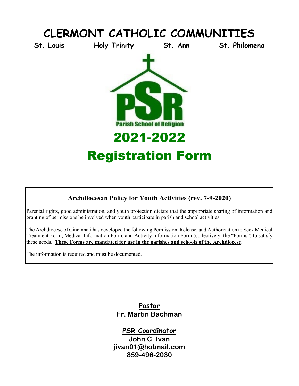

# **Archdiocesan Policy for Youth Activities (rev. 7-9-2020)**

Parental rights, good administration, and youth protection dictate that the appropriate sharing of information and granting of permissions be involved when youth participate in parish and school activities.

The Archdiocese of Cincinnati has developed the following Permission, Release, and Authorization to Seek Medical Treatment Form, Medical Information Form, and Activity Information Form (collectively, the "Forms") to satisfy these needs. **These Forms are mandated for use in the parishes and schools of the Archdiocese**.

The information is required and must be documented.

**Pastor Fr. Martin Bachman**

**PSR Coordinator John C. Ivan jivan01@hotmail.com 859-496-2030**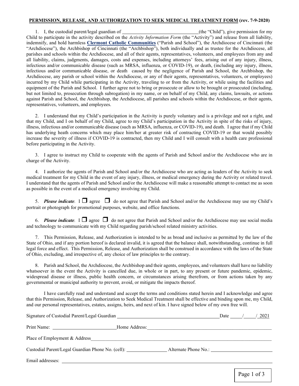#### **PERMISSION, RELEASE, AND AUTHORIZATION TO SEEK MEDICAL TREATMENT FORM (rev. 7-9-2020)**

1. I, the custodial parent/legal guardian of (the "Child"), give permission for my Child to participate in the activity described on the *Activity Information Form* (the "Activity") and release from all liability, indemnify, and hold harmless **Clermont Catholic Communities** ("Parish and School"), the Archdiocese of Cincinnati (the "Archdiocese"), the Archbishop of Cincinnati (the "Archbishop"), both individually and as trustee for the Archdiocese, all parishes and schools within the Archdiocese, and all of their agents, representatives, volunteers, and employees from any and all liability, claims, judgments, damages, costs and expenses, including attorneys' fees, arising out of any injury, illness, infectious and/or communicable disease (such as MRSA, influenza, or COVID-19), or death, (including any injury, illness, infectious and/or communicable disease, or death caused by the negligence of Parish and School, the Archbishop, the Archdiocese, any parish or school within the Archdiocese, or any of their agents, representatives, volunteers, or employees) incurred by my Child while participating in the Activity, traveling to or from the Activity, or while using the facilities and equipment of the Parish and School. I further agree not to bring or prosecute or allow to be brought or prosecuted (including, but not limited to, prosecution through subrogation) in my name, or on behalf of my Child, any claims, lawsuits, or actions against Parish and School, the Archbishop, the Archdiocese, all parishes and schools within the Archdiocese, or their agents, representatives, volunteers, and employees.

2. I understand that my Child's participation in the Activity is purely voluntary and is a privilege and not a right, and that my Child, and I on behalf of my Child, agree to my Child's participation in the Activity in spite of the risks of injury, illness, infectious and/or communicable disease (such as MRSA, influenza, or COVID-19), and death. I agree that if my Child has underlying heath concerns which may place him/her at greater risk of contracting COVID-19 or that would possibly increase the severity of illness if COVID-19 is contracted, then my Child and I will consult with a health care professional before participating in the Activity.

3. I agree to instruct my Child to cooperate with the agents of Parish and School and/or the Archdiocese who are in charge of the Activity.

4. I authorize the agents of Parish and School and/or the Archdiocese who are acting as leaders of the Activity to seek medical treatment for my Child in the event of any injury, illness, or medical emergency during the Activity or related travel. I understand that the agents of Parish and School and/or the Archdiocese will make a reasonable attempt to contact me as soon as possible in the event of a medical emergency involving my Child.

5. **Please indicate**.  $I \square$  agree  $\square$  do not agree that Parish and School and/or the Archdiocese may use my Child's portrait or photograph for promotional purposes, website, and office functions.

6. **Please indicate**.  $I \square$  agree  $\square$  do not agree that Parish and School and/or the Archdiocese may use social media and technology to communicate with my Child regarding parish/school related ministry activities.

7. This Permission, Release, and Authorization is intended to be as broad and inclusive as permitted by the law of the State of Ohio, and if any portion hereof is declared invalid, it is agreed that the balance shall, notwithstanding, continue in full legal force and effect. This Permission, Release, and Authorization shall be construed in accordance with the laws of the State of Ohio, excluding, and irrespective of, any choice of law principles to the contrary.

8. Parish and School, the Archdiocese, the Archbishop and their agents, employees, and volunteers shall have no liability whatsoever in the event the Activity is cancelled due, in whole or in part, to any present or future pandemic, epidemic, widespread disease or illness, public health concern, or circumstances arising therefrom, or from actions taken by any governmental or municipal authority to prevent, avoid, or mitigate the impacts thereof.

I have carefully read and understand and accept the terms and conditions stated herein and I acknowledge and agree that this Permission, Release, and Authorization to Seek Medical Treatment shall be effective and binding upon me, my Child, and our personal representatives, estates, assigns, heirs, and next of kin. I have signed below of my own free will.

| Signature of Custodial Parent/Legal Guardian                                     |                      | Date $\frac{1}{2}$ | 2021 |
|----------------------------------------------------------------------------------|----------------------|--------------------|------|
|                                                                                  | Home Address:        |                    |      |
| Place of Employment & Address                                                    |                      |                    |      |
| Custodial Parent/Legal Guardian Phone No. (cell): ______________________________ | Alternate Phone No.: |                    |      |
| Email addresses:                                                                 |                      |                    |      |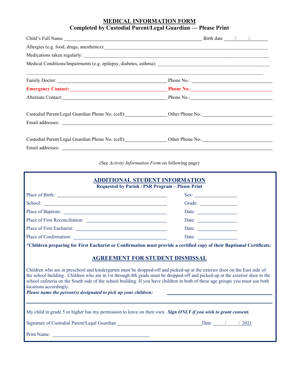#### **MEDICAL INFORMATION FORM Completed by Custodial Parent/Legal Guardian — Please Print**

| Emergency Contact: <u>New York: Phone No.:</u> Phone No.: New York: New York: New York: New York: New York: New York: New York: New York: New York: New York: New York: New York: New York: New York: New York: New York: New York: |  |
|-------------------------------------------------------------------------------------------------------------------------------------------------------------------------------------------------------------------------------------|--|
| Alternate Contact: Phone No.: Phone No.: Phone No.: Phone No.: Phone No.: Phone No.: Phone No.: Phone No.: Phone No.: Phone No.: Phone No.: Phone No.: Phone No.: Phone No.: Phone No.: Phone No.: Phone No.: Phone No.: Phone      |  |
| Custodial Parent/Legal Guardian Phone No. (cell): Custodial Parent/Legal Guardian Phone No. (cell): Custodial Parent/Legal Guardian Phone No. (cell):                                                                               |  |
|                                                                                                                                                                                                                                     |  |
| Custodial Parent/Legal Guardian Phone No. (cell): Custom Phone No.: Custodial Parent/Legal Guardian Phone No. (cell):                                                                                                               |  |
|                                                                                                                                                                                                                                     |  |

(See *Activity Information Form* on following page)

| ADDITIONAL STUDENT INFORMATION<br>Requested by Parish / PSR Program - Please Print                                                                                                                                                                                                                                                                                                                                                                                                                                                                                                                                                                        |  |  |  |  |  |
|-----------------------------------------------------------------------------------------------------------------------------------------------------------------------------------------------------------------------------------------------------------------------------------------------------------------------------------------------------------------------------------------------------------------------------------------------------------------------------------------------------------------------------------------------------------------------------------------------------------------------------------------------------------|--|--|--|--|--|
|                                                                                                                                                                                                                                                                                                                                                                                                                                                                                                                                                                                                                                                           |  |  |  |  |  |
|                                                                                                                                                                                                                                                                                                                                                                                                                                                                                                                                                                                                                                                           |  |  |  |  |  |
|                                                                                                                                                                                                                                                                                                                                                                                                                                                                                                                                                                                                                                                           |  |  |  |  |  |
|                                                                                                                                                                                                                                                                                                                                                                                                                                                                                                                                                                                                                                                           |  |  |  |  |  |
|                                                                                                                                                                                                                                                                                                                                                                                                                                                                                                                                                                                                                                                           |  |  |  |  |  |
|                                                                                                                                                                                                                                                                                                                                                                                                                                                                                                                                                                                                                                                           |  |  |  |  |  |
| *Children preparing for First Eucharist or Confirmation must provide a certified copy of their Baptismal Certificate.<br><b>AGREEMENT FOR STUDENT DISMISSAL</b><br>Children who are in preschool and kindergarten must be dropped-off and picked-up at the exterior door on the East side of<br>the school building. Children who are in 1st through 4th grade must be dropped-off and picked-up at the exterior door to the<br>school cafeteria on the South side of the school building. If you have children in both of these age groups you must use both<br>locations accordingly.<br>Please name the person(s) designated to pick up your children: |  |  |  |  |  |
| My child in grade 5 or higher has my permission to leave on their own. Sign ONLY if you wish to grant consent.                                                                                                                                                                                                                                                                                                                                                                                                                                                                                                                                            |  |  |  |  |  |